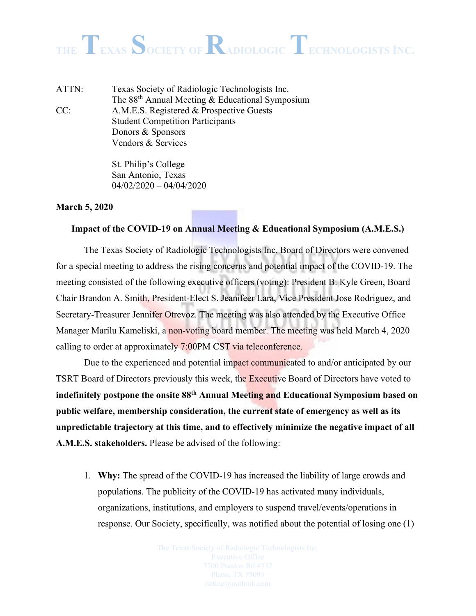ATTN: Texas Society of Radiologic Technologists Inc. The 88th Annual Meeting & Educational Symposium CC: A.M.E.S. Registered & Prospective Guests Student Competition Participants Donors & Sponsors Vendors & Services

> St. Philip's College San Antonio, Texas  $04/02/2020 - 04/04/2020$

#### **March 5, 2020**

#### **Impact of the COVID-19 on Annual Meeting & Educational Symposium (A.M.E.S.)**

The Texas Society of Radiologic Technologists Inc. Board of Directors were convened for a special meeting to address the rising concerns and potential impact of the COVID-19. The meeting consisted of the following executive officers (voting): President B. Kyle Green, Board Chair Brandon A. Smith, President-Elect S. Jeanifeer Lara, Vice President Jose Rodriguez, and Secretary-Treasurer Jennifer Otrevoz. The meeting was also attended by the Executive Office Manager Marilu Kameliski, a non-voting board member. The meeting was held March 4, 2020 calling to order at approximately 7:00PM CST via teleconference.

Due to the experienced and potential impact communicated to and/or anticipated by our TSRT Board of Directors previously this week, the Executive Board of Directors have voted to **indefinitely postpone the onsite 88th Annual Meeting and Educational Symposium based on public welfare, membership consideration, the current state of emergency as well as its unpredictable trajectory at this time, and to effectively minimize the negative impact of all A.M.E.S. stakeholders.** Please be advised of the following:

1. **Why:** The spread of the COVID-19 has increased the liability of large crowds and populations. The publicity of the COVID-19 has activated many individuals, organizations, institutions, and employers to suspend travel/events/operations in response. Our Society, specifically, was notified about the potential of losing one (1)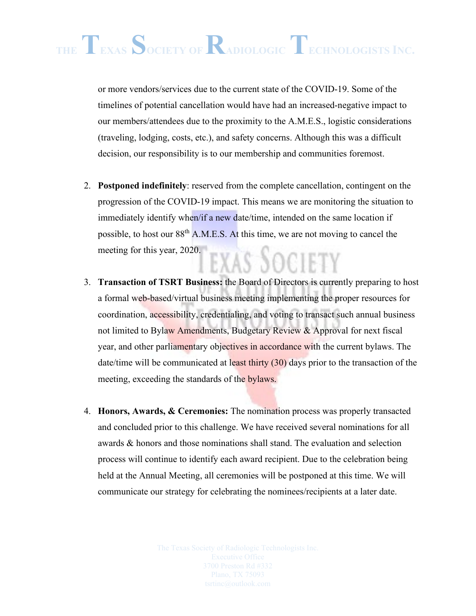or more vendors/services due to the current state of the COVID-19. Some of the timelines of potential cancellation would have had an increased-negative impact to our members/attendees due to the proximity to the A.M.E.S., logistic considerations (traveling, lodging, costs, etc.), and safety concerns. Although this was a difficult decision, our responsibility is to our membership and communities foremost.

- 2. **Postponed indefinitely**: reserved from the complete cancellation, contingent on the progression of the COVID-19 impact. This means we are monitoring the situation to immediately identify when/if a new date/time, intended on the same location if possible, to host our 88th A.M.E.S. At this time, we are not moving to cancel the meeting for this year, 2020. EXAS DOCIET
- 3. **Transaction of TSRT Business:** the Board of Directors is currently preparing to host a formal web-based/virtual business meeting implementing the proper resources for coordination, accessibility, credentialing, and voting to transact such annual business not limited to Bylaw Amendments, Budgetary Review & Approval for next fiscal year, and other parliamentary objectives in accordance with the current bylaws. The date/time will be communicated at least thirty (30) days prior to the transaction of the meeting, exceeding the standards of the **bylaws**.
- 4. **Honors, Awards, & Ceremonies:** The nomination process was properly transacted and concluded prior to this challenge. We have received several nominations for all awards & honors and those nominations shall stand. The evaluation and selection process will continue to identify each award recipient. Due to the celebration being held at the Annual Meeting, all ceremonies will be postponed at this time. We will communicate our strategy for celebrating the nominees/recipients at a later date.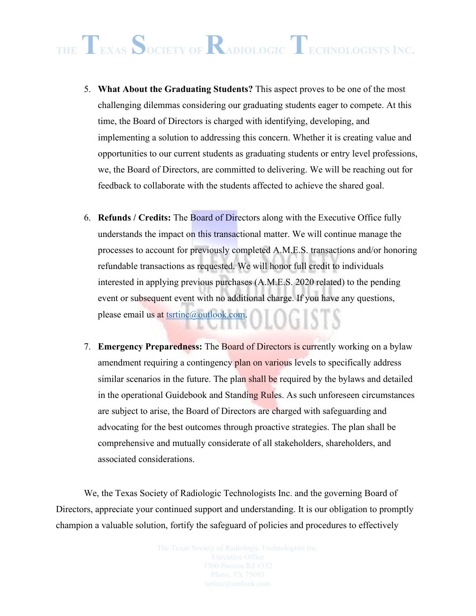- 5. **What About the Graduating Students?** This aspect proves to be one of the most challenging dilemmas considering our graduating students eager to compete. At this time, the Board of Directors is charged with identifying, developing, and implementing a solution to addressing this concern. Whether it is creating value and opportunities to our current students as graduating students or entry level professions, we, the Board of Directors, are committed to delivering. We will be reaching out for feedback to collaborate with the students affected to achieve the shared goal.
- 6. **Refunds / Credits:** The Board of Directors along with the Executive Office fully understands the impact on this transactional matter. We will continue manage the processes to account for previously completed A.M.E.S. transactions and/or honoring refundable transactions as requested. We will honor full credit to individuals interested in applying previous purchases (A.M.E.S. 2020 related) to the pending event or subsequent event with no additional charge. If you have any questions, please email us at [tsrtinc@outlook.com.](mailto:tsrtinc@outlook.com) )LOGISTS
- 7. **Emergency Preparedness:** The Board of Directors is currently working on a bylaw amendment requiring a contingency plan on various levels to specifically address similar scenarios in the future. The plan shall be required by the bylaws and detailed in the operational Guidebook and Standing Rules. As such unforeseen circumstances are subject to arise, the Board of Directors are charged with safeguarding and advocating for the best outcomes through proactive strategies. The plan shall be comprehensive and mutually considerate of all stakeholders, shareholders, and associated considerations.

We, the Texas Society of Radiologic Technologists Inc. and the governing Board of Directors, appreciate your continued support and understanding. It is our obligation to promptly champion a valuable solution, fortify the safeguard of policies and procedures to effectively